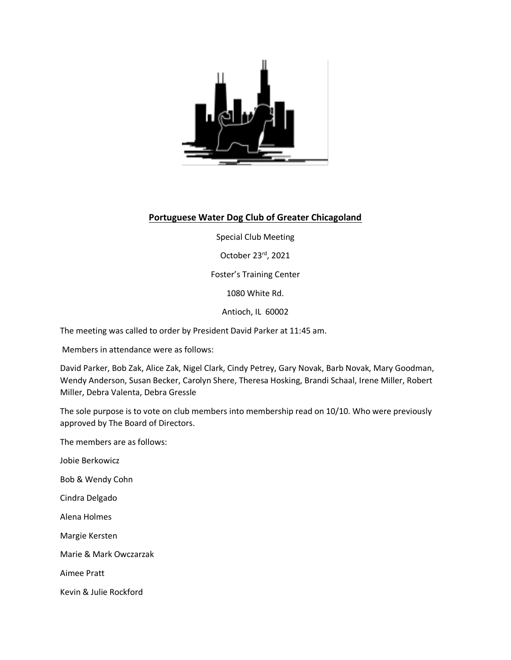

## **Portuguese Water Dog Club of Greater Chicagoland**

Special Club Meeting

October 23rd, 2021

Foster's Training Center

1080 White Rd.

Antioch, IL 60002

The meeting was called to order by President David Parker at 11:45 am.

Members in attendance were as follows:

David Parker, Bob Zak, Alice Zak, Nigel Clark, Cindy Petrey, Gary Novak, Barb Novak, Mary Goodman, Wendy Anderson, Susan Becker, Carolyn Shere, Theresa Hosking, Brandi Schaal, Irene Miller, Robert Miller, Debra Valenta, Debra Gressle

The sole purpose is to vote on club members into membership read on 10/10. Who were previously approved by The Board of Directors.

The members are as follows:

Jobie Berkowicz

Bob & Wendy Cohn

Cindra Delgado

Alena Holmes

Margie Kersten

Marie & Mark Owczarzak

Aimee Pratt

Kevin & Julie Rockford